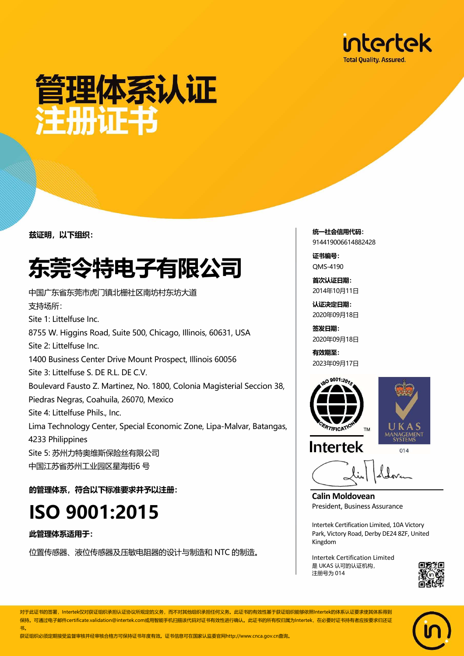

## 管理体系认证 注册证书

兹证明,以下组织:

## 东莞令特电子有限公司

中国广东省东莞市虎门镇北栅社区南坊村东坊大道 支持场所: Site 1: Littelfuse Inc. 8755 W. Higgins Road, Suite 500, Chicago, Illinois, 60631, USA Site 2: Littelfuse Inc. 1400 Business Center Drive Mount Prospect, Illinois 60056 Site 3: Littelfuse S. DE R.L. DE C.V. Boulevard Fausto Z. Martinez, No. 1800, Colonia Magisterial Seccion 38, Piedras Negras, Coahuila, 26070, Mexico Site 4: Littelfuse Phils., Inc. Lima Technology Center, Special Economic Zone, Lipa-Malvar, Batangas, 4233 Philippines Site 5: 苏州力特奥维斯保险丝有限公司 中国江苏省苏州工业园区星海街6 号

的管理体系,符合以下标准要求并予以注册:

#### ISO 9001:2015

此管理体系适用于:

位置传感器、液位传感器及压敏电阻器的设计与制造和 NTC 的制造。

统一社会信用代码: 914419006614882428

证书编号: QMS-4190

首次认证日期: 2014年10月11日

认证决定日期: 2020年09月18日

签发日期: 2020年09月18日

有效期至: 2023年09月17日





**Intertek** 

**Calin Moldovean**  President, Business Assurance

Intertek Certification Limited, 10A Victory Park, Victory Road, Derby DE24 8ZF, United Kingdom

Intertek Certification Limited 是 UKAS 认可的认证机构, 注册号为 014



对于此证书的签署,Intertek仅对获证组织承担认证协议所规定的义务,而不对其他组织承担任何义务。此证书的有效性基于获证组织能够依照Intertek的体系认证要求使其体系得到 保持。可通过电子邮件certificate.validation@intertek.com或用智能手机扫描该代码对证书有效性进行确认。此证书的所有权归属为Intertek,在必要时证书持有者应按要求归还证 书。

获证组织必须定期接受监督审核并经审核合格方可保持证书年度有效。证书信息可在国家认监委官网http://www.cnca.gov.cn查询。